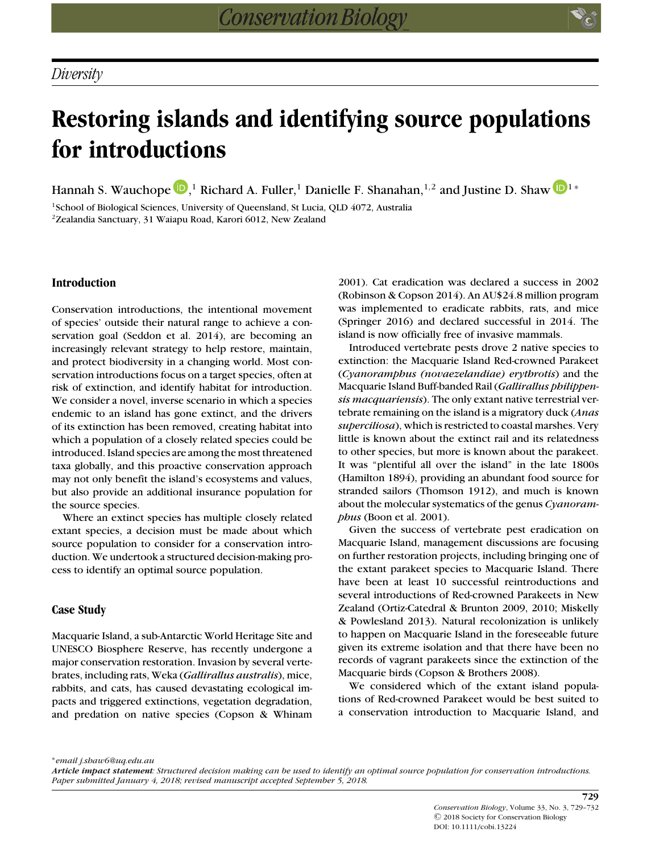# **Restoring islands and identifying source populations for introductions**

Hannah S. Wauchope  $\mathbf{D},^1$  $\mathbf{D},^1$  $\mathbf{D},^1$  $\mathbf{D},^1$  Richard A. Fuller, $^1$  Danielle F. Shanahan, $^{1,2}$  and Justine D. Shaw  $\mathbf{D}^{1*}$ 

<sup>1</sup>School of Biological Sciences, University of Queensland, St Lucia, QLD 4072, Australia 2Zealandia Sanctuary, 31 Waiapu Road, Karori 6012, New Zealand

## **Introduction**

Conservation introductions, the intentional movement of species' outside their natural range to achieve a conservation goal (Seddon et al. 2014), are becoming an increasingly relevant strategy to help restore, maintain, and protect biodiversity in a changing world. Most conservation introductions focus on a target species, often at risk of extinction, and identify habitat for introduction. We consider a novel, inverse scenario in which a species endemic to an island has gone extinct, and the drivers of its extinction has been removed, creating habitat into which a population of a closely related species could be introduced. Island species are among the most threatened taxa globally, and this proactive conservation approach may not only benefit the island's ecosystems and values, but also provide an additional insurance population for the source species.

Where an extinct species has multiple closely related extant species, a decision must be made about which source population to consider for a conservation introduction. We undertook a structured decision-making process to identify an optimal source population.

## **Case Study**

Macquarie Island, a sub-Antarctic World Heritage Site and UNESCO Biosphere Reserve, has recently undergone a major conservation restoration. Invasion by several vertebrates, including rats, Weka (*Gallirallus australis*), mice, rabbits, and cats, has caused devastating ecological impacts and triggered extinctions, vegetation degradation, and predation on native species (Copson & Whinam 2001). Cat eradication was declared a success in 2002 (Robinson & Copson 2014). An AU\$24.8 million program was implemented to eradicate rabbits, rats, and mice (Springer 2016) and declared successful in 2014. The island is now officially free of invasive mammals.

Introduced vertebrate pests drove 2 native species to extinction: the Macquarie Island Red-crowned Parakeet (*Cyanoramphus (novaezelandiae) erythrotis*) and the Macquarie Island Buff-banded Rail (*Gallirallus philippensis macquariensis*). The only extant native terrestrial vertebrate remaining on the island is a migratory duck (*Anas superciliosa*), which is restricted to coastal marshes. Very little is known about the extinct rail and its relatedness to other species, but more is known about the parakeet. It was "plentiful all over the island" in the late 1800s (Hamilton 1894), providing an abundant food source for stranded sailors (Thomson 1912), and much is known about the molecular systematics of the genus *Cyanoramphus* (Boon et al. 2001).

Given the success of vertebrate pest eradication on Macquarie Island, management discussions are focusing on further restoration projects, including bringing one of the extant parakeet species to Macquarie Island. There have been at least 10 successful reintroductions and several introductions of Red-crowned Parakeets in New Zealand (Ortiz-Catedral & Brunton 2009, 2010; Miskelly & Powlesland 2013). Natural recolonization is unlikely to happen on Macquarie Island in the foreseeable future given its extreme isolation and that there have been no records of vagrant parakeets since the extinction of the Macquarie birds (Copson & Brothers 2008).

We considered which of the extant island populations of Red-crowned Parakeet would be best suited to a conservation introduction to Macquarie Island, and

∗*email j.shaw6@uq.edu.au*

*Article impact statement: Structured decision making can be used to identify an optimal source population for conservation introductions. Paper submitted January 4, 2018; revised manuscript accepted September 5, 2018.*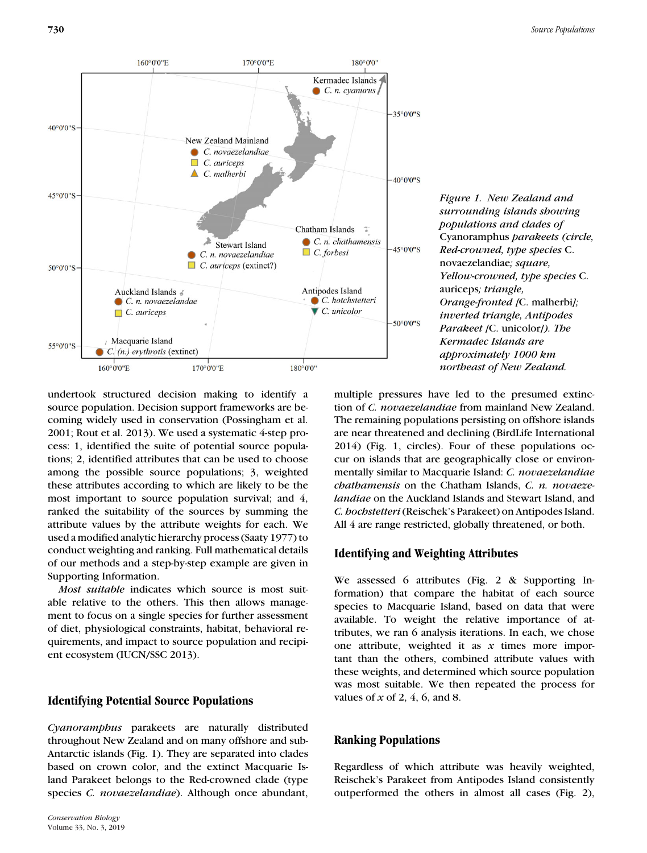

*Figure 1. New Zealand and surrounding islands showing populations and clades of* Cyanoramphus *parakeets (circle, Red-crowned, type species* C. novaezelandiae*; square, Yellow-crowned, type species* C. auriceps*; triangle, Orange-fronted [*C. malherbi*]; inverted triangle, Antipodes Parakeet [*C. unicolor*]). The Kermadec Islands are approximately 1000 km northeast of New Zealand.*

undertook structured decision making to identify a source population. Decision support frameworks are becoming widely used in conservation (Possingham et al. 2001; Rout et al. 2013). We used a systematic 4-step process: 1, identified the suite of potential source populations; 2, identified attributes that can be used to choose among the possible source populations; 3, weighted these attributes according to which are likely to be the most important to source population survival; and 4, ranked the suitability of the sources by summing the attribute values by the attribute weights for each. We used a modified analytic hierarchy process (Saaty 1977) to conduct weighting and ranking. Full mathematical details of our methods and a step-by-step example are given in Supporting Information.

*Most suitable* indicates which source is most suitable relative to the others. This then allows management to focus on a single species for further assessment of diet, physiological constraints, habitat, behavioral requirements, and impact to source population and recipient ecosystem (IUCN/SSC 2013).

# **Identifying Potential Source Populations**

*Cyanoramphus* parakeets are naturally distributed throughout New Zealand and on many offshore and sub-Antarctic islands (Fig. 1). They are separated into clades based on crown color, and the extinct Macquarie Island Parakeet belongs to the Red-crowned clade (type species *C. novaezelandiae*). Although once abundant,

multiple pressures have led to the presumed extinction of *C. novaezelandiae* from mainland New Zealand. The remaining populations persisting on offshore islands are near threatened and declining (BirdLife International 2014) (Fig. 1, circles). Four of these populations occur on islands that are geographically close or environmentally similar to Macquarie Island: *C. novaezelandiae chathamensis* on the Chatham Islands, *C. n. novaezelandiae* on the Auckland Islands and Stewart Island, and *C. hochstetteri*(Reischek's Parakeet) on Antipodes Island. All 4 are range restricted, globally threatened, or both.

# **Identifying and Weighting Attributes**

We assessed 6 attributes (Fig. 2 & Supporting Information) that compare the habitat of each source species to Macquarie Island, based on data that were available. To weight the relative importance of attributes, we ran 6 analysis iterations. In each, we chose one attribute, weighted it as *x* times more important than the others, combined attribute values with these weights, and determined which source population was most suitable. We then repeated the process for values of *x* of 2, 4, 6, and 8.

# **Ranking Populations**

Regardless of which attribute was heavily weighted, Reischek's Parakeet from Antipodes Island consistently outperformed the others in almost all cases (Fig. 2),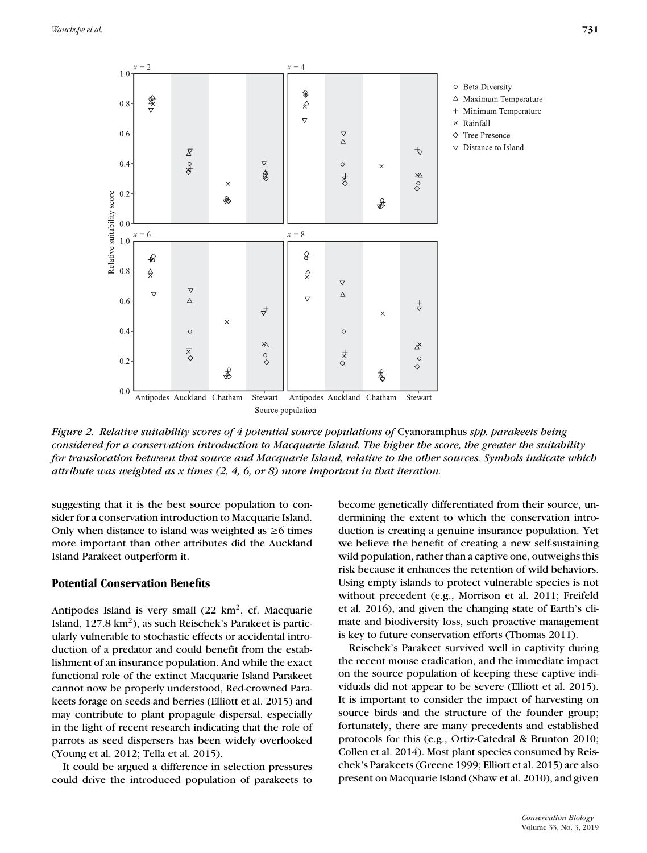

*Figure 2. Relative suitability scores of 4 potential source populations of* Cyanoramphus *spp. parakeets being considered for a conservation introduction to Macquarie Island. The higher the score, the greater the suitability for translocation between that source and Macquarie Island, relative to the other sources. Symbols indicate which attribute was weighted as x times (2, 4, 6, or 8) more important in that iteration.*

suggesting that it is the best source population to consider for a conservation introduction to Macquarie Island. Only when distance to island was weighted as  $\geq 6$  times more important than other attributes did the Auckland Island Parakeet outperform it.

## **Potential Conservation Benefits**

Antipodes Island is very small  $(22 \text{ km}^2, \text{ cf. Macquarie})$ Island,  $127.8 \text{ km}^2$ ), as such Reischek's Parakeet is particularly vulnerable to stochastic effects or accidental introduction of a predator and could benefit from the establishment of an insurance population. And while the exact functional role of the extinct Macquarie Island Parakeet cannot now be properly understood, Red-crowned Parakeets forage on seeds and berries (Elliott et al. 2015) and may contribute to plant propagule dispersal, especially in the light of recent research indicating that the role of parrots as seed dispersers has been widely overlooked (Young et al. 2012; Tella et al. 2015).

It could be argued a difference in selection pressures could drive the introduced population of parakeets to become genetically differentiated from their source, undermining the extent to which the conservation introduction is creating a genuine insurance population. Yet we believe the benefit of creating a new self-sustaining wild population, rather than a captive one, outweighs this risk because it enhances the retention of wild behaviors. Using empty islands to protect vulnerable species is not without precedent (e.g., Morrison et al. 2011; Freifeld et al. 2016), and given the changing state of Earth's climate and biodiversity loss, such proactive management is key to future conservation efforts (Thomas 2011).

Reischek's Parakeet survived well in captivity during the recent mouse eradication, and the immediate impact on the source population of keeping these captive individuals did not appear to be severe (Elliott et al. 2015). It is important to consider the impact of harvesting on source birds and the structure of the founder group; fortunately, there are many precedents and established protocols for this (e.g., Ortiz-Catedral & Brunton 2010; Collen et al. 2014). Most plant species consumed by Reischek's Parakeets (Greene 1999; Elliott et al. 2015) are also present on Macquarie Island (Shaw et al. 2010), and given